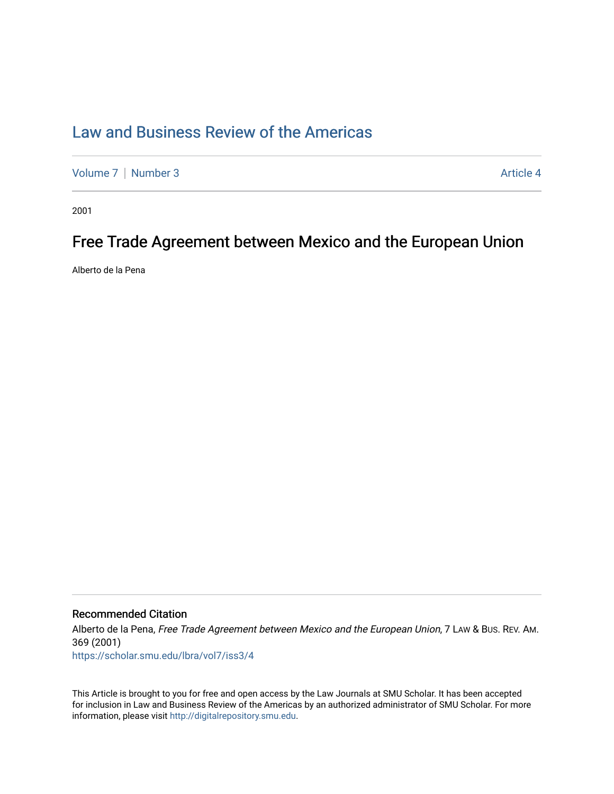# [Law and Business Review of the Americas](https://scholar.smu.edu/lbra)

[Volume 7](https://scholar.smu.edu/lbra/vol7) | [Number 3](https://scholar.smu.edu/lbra/vol7/iss3) Article 4

2001

## Free Trade Agreement between Mexico and the European Union

Alberto de la Pena

## Recommended Citation

Alberto de la Pena, Free Trade Agreement between Mexico and the European Union, 7 LAW & Bus. REV. AM. 369 (2001)

[https://scholar.smu.edu/lbra/vol7/iss3/4](https://scholar.smu.edu/lbra/vol7/iss3/4?utm_source=scholar.smu.edu%2Flbra%2Fvol7%2Fiss3%2F4&utm_medium=PDF&utm_campaign=PDFCoverPages)

This Article is brought to you for free and open access by the Law Journals at SMU Scholar. It has been accepted for inclusion in Law and Business Review of the Americas by an authorized administrator of SMU Scholar. For more information, please visit [http://digitalrepository.smu.edu](http://digitalrepository.smu.edu/).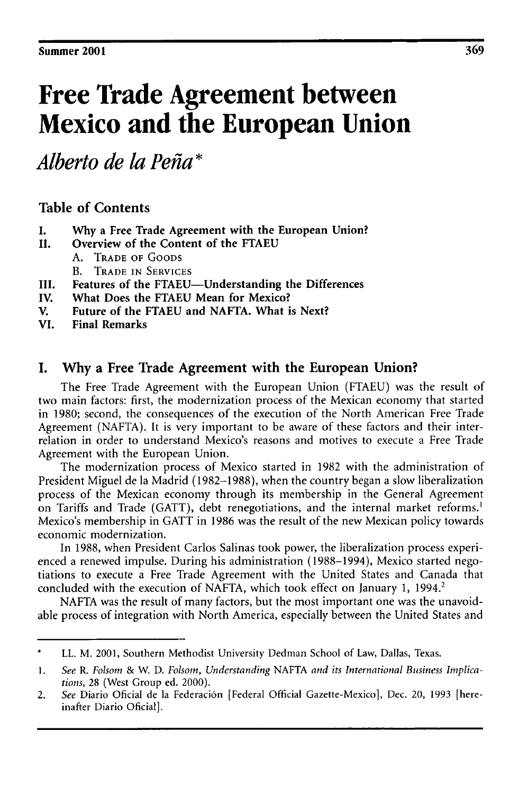# **Free Trade Agreement between Mexico and the European Union**

*Alberto de la Peta\**

## **Table of Contents**

- **I. Why** a **Free Trade Agreement with the European Union?**
- **II.** Overview of **the Content of the FTAEU A.** TRADE **OF GOODS**
	- B. TRADE **IN** SERVICES
- **III. Features of the FTAEU-Understanding the Differences**
- **IV.** What **Does the FTAEU Mean for** Mexico?
- **V.** Future of **the FTAEU** and **NAFTA.** What **is Next?**
- **VI. Final Remarks**

## **I. Why a Free Trade Agreement with the European Union?**

The Free Trade Agreement with the European Union (FTAEU) was the result of two main factors: first, the modernization process of the Mexican economy that started in 1980; second, the consequences of the execution of the North American Free Trade Agreement (NAFTA). It is very important to be aware of these factors and their interrelation in order to understand Mexico's reasons and motives to execute a Free Trade Agreement with the European Union.

The modernization process of Mexico started in 1982 with the administration of President Miguel de la Madrid (1982-1988), when the country began a slow liberalization process of the Mexican economy through its membership in the General Agreement on Tariffs and Trade (GATT), debt renegotiations, and the internal market reforms.' Mexico's membership in GATT in 1986 was the result of the new Mexican policy towards economic modernization.

In 1988, when President Carlos Salinas took power, the liberalization process experienced a renewed impulse. During his administration (1988-1994), Mexico started negotiations to execute a Free Trade Agreement with the United States and Canada that concluded with the execution of NAFTA, which took effect on January 1, 1994.<sup>2</sup>

NAFTA was the result of many factors, but the most important one was the unavoidable process of integration with North America, especially between the United States and

LL. M. 2001, Southern Methodist University Dedman School of Law, Dallas, Texas.

**<sup>1.</sup>** *See R. Folsom &* W. D. *Folsom, Understanding* NAFTA *and its International Business Implications,* 28 (West Group ed. 2000).

<sup>2.</sup> *See* Diario Oficial de la Federaci6n [Federal Official Gazette-Mexico], Dec. 20, **1993** [hereinafter Diario Oficial].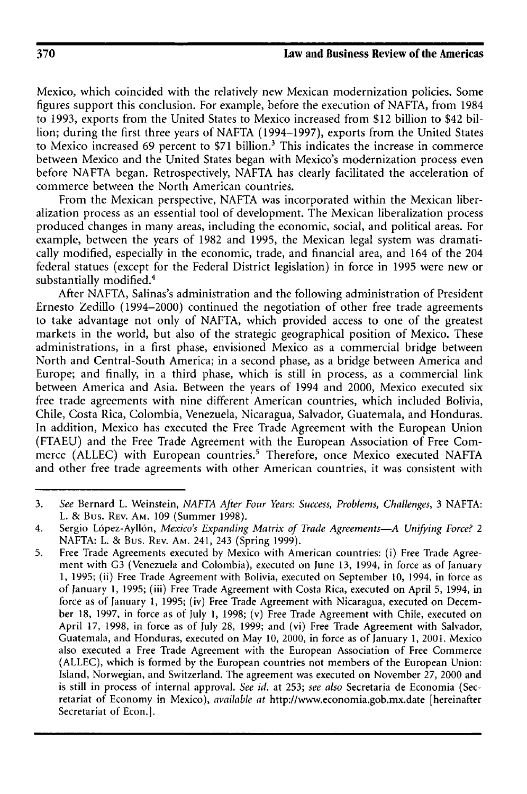Mexico, which coincided with the relatively new Mexican modernization policies. Some figures support this conclusion. For example, before the execution of NAFTA, from 1984 to 1993, exports from the United States to Mexico increased from \$12 billion to \$42 billion; during the first three years of NAFTA (1994-1997), exports from the United States to Mexico increased 69 percent to \$71 billion.' This indicates the increase in commerce between Mexico and the United States began with Mexico's modernization process even before NAFTA began. Retrospectively, NAFTA has clearly facilitated the acceleration of commerce between the North American countries.

From the Mexican perspective, NAFTA was incorporated within the Mexican liberalization process as an essential tool of development. The Mexican liberalization process produced changes in many areas, including the economic, social, and political areas. For example, between the years of 1982 and 1995, the Mexican legal system was dramatically modified, especially in the economic, trade, and financial area, and 164 of the 204 federal statues (except for the Federal District legislation) in force in 1995 were new or substantially modified.<sup>4</sup>

After NAFTA, Salinas's administration and the following administration of President Ernesto Zedillo (1994-2000) continued the negotiation of other free trade agreements to take advantage not only of NAFTA, which provided access to one of the greatest markets in the world, but also of the strategic geographical position of Mexico. These administrations, in a first phase, envisioned Mexico as a commercial bridge between North and Central-South America; in a second phase, as a bridge between America and Europe; and finally, in a third phase, which is still in process, as a commercial link between America and Asia. Between the years of 1994 and 2000, Mexico executed six free trade agreements with nine different American countries, which included Bolivia, Chile, Costa Rica, Colombia, Venezuela, Nicaragua, Salvador, Guatemala, and Honduras. In addition, Mexico has executed the Free Trade Agreement with the European Union (FTAEU) and the Free Trade Agreement with the European Association of Free Commerce (ALLEC) with European countries.<sup>5</sup> Therefore, once Mexico executed NAFTA and other free trade agreements with other American countries, it was consistent with

<sup>3.</sup> *See* Bernard L. Weinstein, *NAFTA After Four Years: Success, Problems, Challenges,* 3 NAFTA: L. & Bus. REV. **AM.** 109 (Summer 1998).

<sup>4.</sup> Sergio L6pez-Ayll6n, *Mexico's Expanding Matrix of Trade Agreements-A Unifying Force? 2* NAFTA: L. & Bus. REv. **AM.** 241, 243 (Spring 1999).

<sup>5.</sup> Free Trade Agreements executed by Mexico with American countries: (i) Free Trade Agreement with G3 (Venezuela and Colombia), executed on June 13, 1994, in force as of January 1, 1995; (ii) Free Trade Agreement with Bolivia, executed on September **10,** 1994, in force as of January 1, 1995; (iii) Free Trade Agreement with Costa Rica, executed on April 5, 1994, in force as of January 1, 1995; (iv) Free Trade Agreement with Nicaragua, executed on December 18, 1997, in force as of July 1, 1998; (v) Free Trade Agreement with Chile, executed on April 17, 1998, in force as of July 28, 1999; and (vi) Free Trade Agreement with Salvador, Guatemala, and Honduras, executed on May 10, 2000, in force as of January 1, 2001. Mexico also executed a Free Trade Agreement with the European Association of Free Commerce (ALLEC), which is formed by the European countries not members of the European Union: Island, Norwegian, and Switzerland. The agreement was executed on November 27, 2000 and is still in process of internal approval. *See id.* at 253; *see also* Secretaria de Economia (Secretariat of Economy in Mexico), *available at* http://www.economia.gob.mx.date [hereinafter Secretariat of Econ.].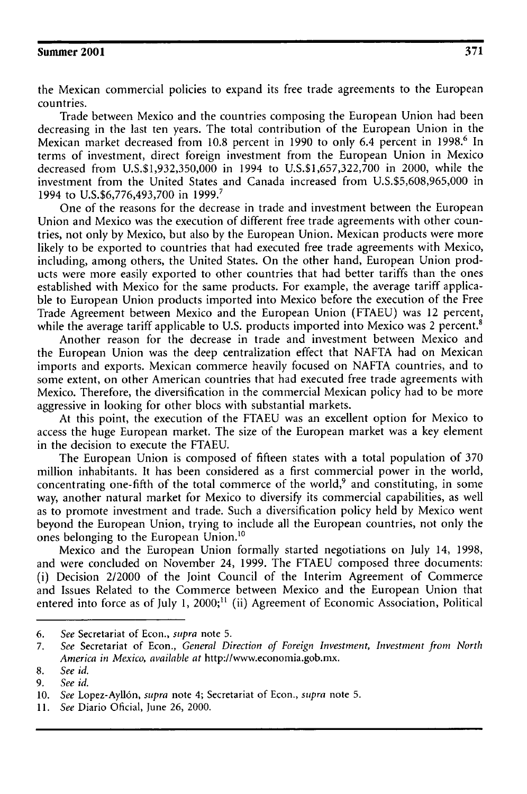the Mexican commercial policies to expand its free trade agreements to the European countries.

Trade between Mexico and the countries composing the European Union had been decreasing in the last ten years. The total contribution of the European Union in the Mexican market decreased from 10.8 percent in 1990 to only 6.4 percent in 1998.<sup>6</sup> In terms of investment, direct foreign investment from the European Union in Mexico decreased from U.S.\$1,932,350,000 in 1994 to U.S.\$1,657,322,700 in 2000, while the investment from the United States and Canada increased from U.S.\$5,608,965,000 in 1994 to U.S.\$6,776,493,700 in 1999. <sup>7</sup>

One of the reasons for the decrease in trade and investment between the European Union and Mexico was the execution of different free trade agreements with other countries, not only by Mexico, but also by the European Union. Mexican products were more likely to be exported to countries that had executed free trade agreements with Mexico, including, among others, the United States. On the other hand, European Union products were more easily exported to other countries that had better tariffs than the ones established with Mexico for the same products. For example, the average tariff applicable to European Union products imported into Mexico before the execution of the Free Trade Agreement between Mexico and the European Union (FTAEU) was 12 percent, while the average tariff applicable to U.S. products imported into Mexico was 2 percent.<sup>8</sup>

Another reason for the decrease in trade and investment between Mexico and the European Union was the deep centralization effect that NAFTA had on Mexican imports and exports. Mexican commerce heavily focused on NAFTA countries, and to some extent, on other American countries that had executed free trade agreements with Mexico. Therefore, the diversification in the commercial Mexican policy had to be more aggressive in looking for other blocs with substantial markets.

At this point, the execution of the FTAEU was an excellent option for Mexico to access the huge European market. The size of the European market was a key element in the decision to execute the FTAEU.

The European Union is composed of fifteen states with a total population of 370 million inhabitants. It has been considered as a first commercial power in the world, concentrating one-fifth of the total commerce of the world,<sup>9</sup> and constituting, in some way, another natural market for Mexico to diversify its commercial capabilities, as well as to promote investment and trade. Such a diversification policy held by Mexico went beyond the European Union, trying to include all the European countries, not only the ones belonging to the European Union.<sup>16</sup>

Mexico and the European Union formally started negotiations on July 14, 1998, and were concluded on November 24, 1999. The FTAEU composed three documents: (i) Decision 2/2000 of the Joint Council of the Interim Agreement of Commerce and Issues Related to the Commerce between Mexico and the European Union that entered into force as of July 1,  $2000$ ;<sup>11</sup> (ii) Agreement of Economic Association, Political

*<sup>6.</sup> See* Secretariat of Econ., *supra* note 5.

**<sup>7.</sup>** *See* Secretariat of Econ., *General Direction of Foreign Investment, Investment from North America in Mexico, available at* http://www.economia.gob.mx.

<sup>8.</sup> *See id.*

*<sup>9.</sup> See id.*

<sup>10.</sup> *See* Lopez-Ayll6n, *supra* note 4; Secretariat of Econ., *supra* note 5.

<sup>11.</sup> *See* Diario Oficial, June 26, 2000.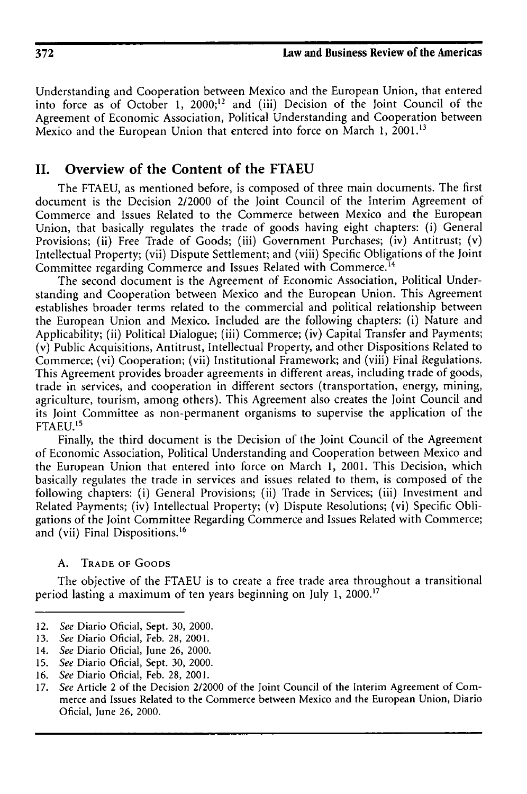Understanding and Cooperation between Mexico and the European Union, that entered into force as of October 1,  $2000$ ;<sup>12</sup> and (iii) Decision of the Joint Council of the Agreement of Economic Association, Political Understanding and Cooperation between Mexico and the European Union that entered into force on March 1, **2001.13**

## **II. Overview of the Content of the FTAEU**

The FTAEU, as mentioned before, is composed of three main documents. The first document is the Decision 2/2000 of the Joint Council of the Interim Agreement of Commerce and Issues Related to the Commerce between Mexico and the European Union, that basically regulates the trade of goods having eight chapters: (i) General Provisions; (ii) Free Trade of Goods; (iii) Government Purchases; (iv) Antitrust; (v) Intellectual Property; (vii) Dispute Settlement; and (viii) Specific Obligations of the Joint Committee regarding Commerce and Issues Related with Commerce.<sup>14</sup>

The second document is the Agreement of Economic Association, Political Understanding and Cooperation between Mexico and the European Union. This Agreement establishes broader terms related to the commercial and political relationship between the European Union and Mexico. Included are the following chapters: (i) Nature and Applicability; (ii) Political Dialogue; (iii) Commerce; (iv) Capital Transfer and Payments; (v) Public Acquisitions, Antitrust, Intellectual Property, and other Dispositions Related to Commerce; (vi) Cooperation; (vii) Institutional Framework; and (viii) Final Regulations. This Agreement provides broader agreements in different areas, including trade of goods, trade in services, and cooperation in different sectors (transportation, energy, mining, agriculture, tourism, among others). This Agreement also creates the Joint Council and its Joint Committee as non-permanent organisms to supervise the application of the FTAEU.'<sup>5</sup>

Finally, the third document is the Decision of the Joint Council of the Agreement of Economic Association, Political Understanding and Cooperation between Mexico and the European Union that entered into force on March 1, 2001. This Decision, which basically regulates the trade in services and issues related to them, is composed of the following chapters: (i) General Provisions; (ii) Trade in Services; (iii) Investment and Related Payments; (iv) Intellectual Property; (v) Dispute Resolutions; (vi) Specific Obligations of the Joint Committee Regarding Commerce and Issues Related with Commerce; and (vii) Final Dispositions. **<sup>16</sup>**

### **A.** TRADE OF GOODS

The objective of the FTAEU is to create a free trade area throughout a transitional period lasting a maximum of ten years beginning on July 1, 2000.17

- **15.** See Diario Oficial, Sept. 30, 2000.
- 16. See Diario Oficial, Feb. 28, 2001.

<sup>12.</sup> See Diario Oficial, Sept. 30, 2000.

<sup>13.</sup> See Diario Oficial, Feb. 28, 2001.

<sup>14.</sup> See Diario Oficial, June 26, 2000.

<sup>17.</sup> See Article 2 of the Decision 2/2000 of the Joint Council of the Interim Agreement of Commerce and Issues Related to the Commerce between Mexico and the European Union, Diario Oficial, June 26, 2000.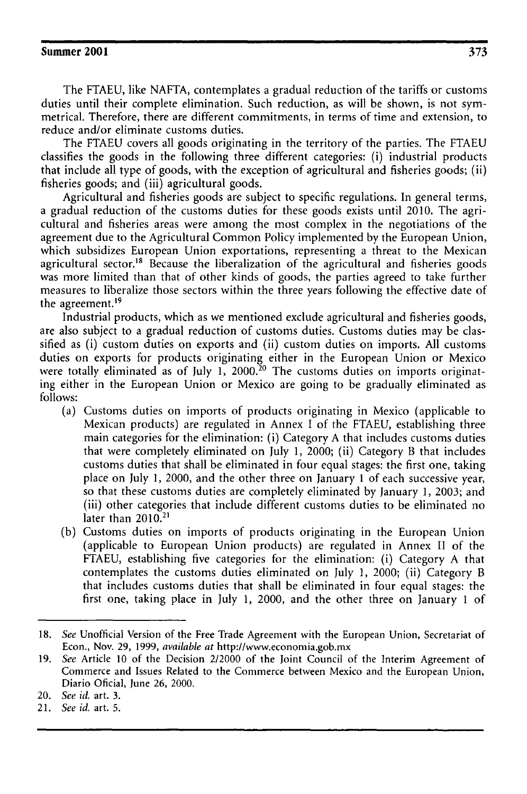The FTAEU, like NAFTA, contemplates a gradual reduction of the tariffs or customs duties until their complete elimination. Such reduction, as will be shown, is not symmetrical. Therefore, there are different commitments, in terms of time and extension, to reduce and/or eliminate customs duties.

The FTAEU covers all goods originating in the territory of the parties. The FTAEU classifies the goods in the following three different categories: (i) industrial products that include all type of goods, with the exception of agricultural and fisheries goods; (ii) fisheries goods; and (iii) agricultural goods.

Agricultural and fisheries goods are subject to specific regulations. In general terms, a gradual reduction of the customs duties for these goods exists until 2010. The agricultural and fisheries areas were among the most complex in the negotiations of the agreement due to the Agricultural Common Policy implemented by the European Union, which subsidizes European Union exportations, representing a threat to the Mexican agricultural sector.<sup>18</sup> Because the liberalization of the agricultural and fisheries goods was more limited than that of other kinds of goods, the parties agreed to take further measures to liberalize those sectors within the three years following the effective date of the agreement.<sup>19</sup>

Industrial products, which as we mentioned exclude agricultural and fisheries goods, are also subject to a gradual reduction of customs duties. Customs duties may be classified as (i) custom duties on exports and (ii) custom duties on imports. All customs duties on exports for products originating either in the European Union or Mexico were totally eliminated as of July 1, 2000.<sup>20</sup> The customs duties on imports originating either in the European Union or Mexico are going to be gradually eliminated as follows:

- (a) Customs duties on imports of products originating in Mexico (applicable to Mexican products) are regulated in Annex I of the FTAEU, establishing three main categories for the elimination: (i) Category A that includes customs duties that were completely eliminated on July 1, 2000; (ii) Category B that includes customs duties that shall be eliminated in four equal stages: the first one, taking place on July **1,** 2000, and the other three on January 1 of each successive year, so that these customs duties are completely eliminated by January 1, 2003; and (iii) other categories that include different customs duties to be eliminated no later than  $2010.<sup>21</sup>$
- (b) Customs duties on imports of products originating in the European Union (applicable to European Union products) are regulated in Annex II of the FTAEU, establishing five categories for the elimination: (i) Category A that contemplates the customs duties eliminated on July 1, 2000; (ii) Category B that includes customs duties that shall be eliminated in four equal stages: the first one, taking place in July 1, 2000, and the other three on January 1 of

<sup>18.</sup> See Unofficial Version of the Free Trade Agreement with the European Union, Secretariat of Econ., Nov. **29,** 1999, available at http://wvw.economia.gob.mx

<sup>19.</sup> See Article **10** of the Decision 2/2000 of the Joint Council of the Interim Agreement of Commerce and Issues Related to the Commerce between Mexico and the European Union, Diario Oficial, June 26, 2000.

<sup>20.</sup> *See id.* art. 3.

<sup>21.</sup> *See id.* art. 5.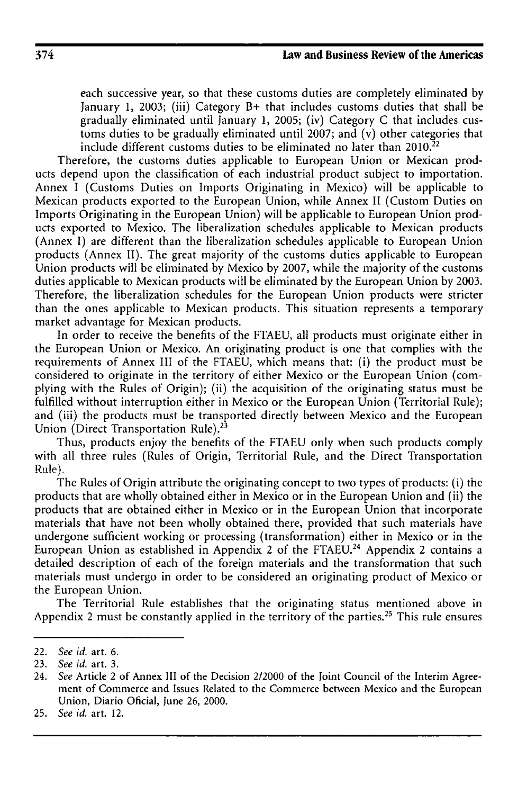each successive year, so that these customs duties are completely eliminated by January 1, 2003; (iii) Category B+ that includes customs duties that shall be gradually eliminated until January 1, 2005; (iv) Category C that includes customs duties to be gradually eliminated until **2007;** and (v) other categories that include different customs duties to be eliminated no later than  $2010<sup>22</sup>$ 

Therefore, the customs duties applicable to European Union or Mexican products depend upon the classification of each industrial product subject to importation. Annex I (Customs Duties on Imports Originating in Mexico) will be applicable to Mexican products exported to the European Union, while Annex II (Custom Duties on Imports Originating in the European Union) will be applicable to European Union products exported to Mexico. The liberalization schedules applicable to Mexican products (Annex I) are different than the liberalization schedules applicable to European Union products (Annex II). The great majority of the customs duties applicable to European Union products will be eliminated by Mexico by 2007, while the majority of the customs duties applicable to Mexican products will be eliminated by the European Union by 2003. Therefore, the liberalization schedules for the European Union products were stricter than the ones applicable to Mexican products. This situation represents a temporary market advantage for Mexican products.

In order to receive the benefits of the FTAEU, all products must originate either in the European Union or Mexico. An originating product is one that complies with the requirements of Annex III of the FTAEU, which means that: (i) the product must be considered to originate in the territory of either Mexico or the European Union (complying with the Rules of Origin); (ii) the acquisition of the originating status must be fulfilled without interruption either in Mexico or the European Union (Territorial Rule); and (iii) the products must be transported directly between Mexico and the European Union (Direct Transportation Rule).<sup>23</sup>

Thus, products enjoy the benefits of the FTAEU only when such products comply with all three rules (Rules of Origin, Territorial Rule, and the Direct Transportation **Rule**).

The Rules of Origin attribute the originating concept to two types of products: **(i)** the products that are wholly obtained either in Mexico or in the European Union and (ii) the products that are obtained either in Mexico or in the European Union that incorporate materials that have not been wholly obtained there, provided that such materials have undergone sufficient working or processing (transformation) either in Mexico or in the European Union as established in Appendix 2 of the FTAEU.<sup>24</sup> Appendix 2 contains a detailed description of each of the foreign materials and the transformation that such materials must undergo in order to be considered an originating product of Mexico or the European Union.

The Territorial Rule establishes that the originating status mentioned above in Appendix 2 must be constantly applied in the territory of the parties.<sup>25</sup> This rule ensures

<sup>22.</sup> *See id.* art. 6.

<sup>23.</sup> *See id.* art. 3.

<sup>24.</sup> *See* Article 2 of Annex III of the Decision 2/2000 of the Joint Council of the Interim Agreement of Commerce and Issues Related to the Commerce between Mexico and the European Union, Diario Oficial, June 26, 2000.

<sup>25.</sup> *See id.* art. 12.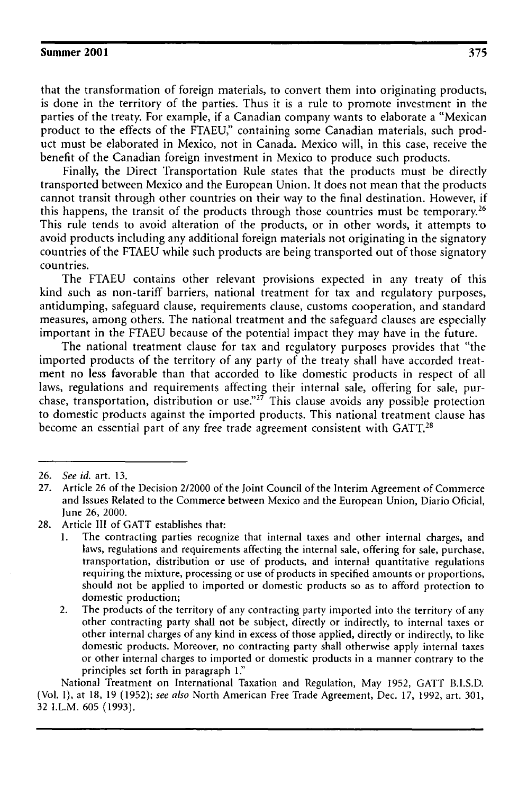that the transformation of foreign materials, to convert them into originating products, is done in the territory of the parties. Thus it is a rule to promote investment in the parties of the treaty. For example, if a Canadian company wants to elaborate a "Mexican product to the effects of the **FTAEU,"** containing some Canadian materials, such product must be elaborated in Mexico, not in Canada. Mexico will, in this case, receive the benefit of the Canadian foreign investment in Mexico to produce such products.

Finally, the Direct Transportation Rule states that the products must be directly transported between Mexico and the European Union. It does not mean that the products cannot transit through other countries on their way to the final destination. However, if this happens, the transit of the products through those countries must be temporary.<sup>26</sup> This rule tends to avoid alteration of the products, or in other words, it attempts to avoid products including any additional foreign materials not originating in the signatory countries of the **FTAEU** while such products are being transported out of those signatory countries.

The **FTAEU** contains other relevant provisions expected in any treaty of this kind such as non-tariff barriers, national treatment for tax and regulatory purposes, antidumping, safeguard clause, requirements clause, customs cooperation, and standard measures, among others. The national treatment and the safeguard clauses are especially important in the **FTAEU** because of the potential impact they may have in the future.

The national treatment clause for tax and regulatory purposes provides that "the imported products of the territory of any party of the treaty shall have accorded treatment no less favorable than that accorded to like domestic products in respect of all laws, regulations and requirements affecting their internal sale, offering for sale, purchase, transportation, distribution or use."<sup>27</sup> This clause avoids any possible protection to domestic products against the imported products. This national treatment clause has become an essential part of any free trade agreement consistent with **GATT.28**

National Treatment on International Taxation and Regulation, May **1952, GATT B.I.S.D.** (Vol. **I),** at **18, 19 (1952);** *see also* North American Free Trade Agreement, Dec. **17, 1992,** art. **301, 32** I.L.M. **605 (1993).**

**<sup>26.</sup>** *See id.* art. **13.**

**<sup>27.</sup>** Article **26** of the Decision 2/2000 of the Joint Council of the Interim Agreement of Commerce and Issues Related to the Commerce between Mexico and the European Union, Diario Oficial, June **26,** 2000.

**<sup>28.</sup>** Article **III** of **GATT** establishes that:

**<sup>1.</sup>** The contracting parties recognize that internal taxes and other internal charges, and laws, regulations and requirements affecting the internal sale, offering for sale, purchase, transportation, distribution or use of products, and internal quantitative regulations requiring the mixture, processing or use of products in specified amounts or proportions, should not be applied to imported or domestic products so as to afford protection to domestic production;

<sup>2.</sup> The products of the territory of any contracting party imported into the territory of any other contracting party shall not be subject, directly or indirectly, to internal taxes or other internal charges of any kind in excess of those applied, directly or indirectly, to like domestic products. Moreover, no contracting party shall otherwise apply internal taxes or other internal charges to imported or domestic products in a manner contrary to the principles set forth in paragraph **1'"**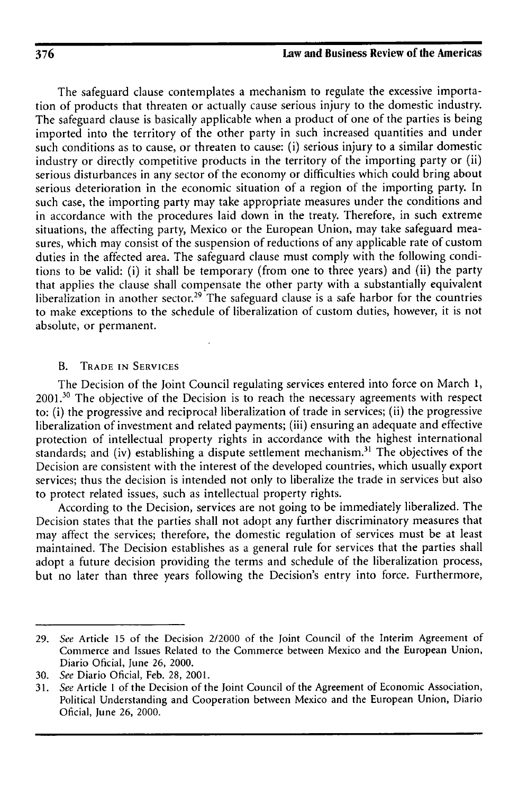The safeguard clause contemplates a mechanism to regulate the excessive importation of products that threaten or actually cause serious injury to the domestic industry. The safeguard clause is basically applicable when a product of one of the parties is being imported into the territory of the other party in such increased quantities and under such conditions as to cause, or threaten to cause: (i) serious injury to a similar domestic industry or directly competitive products in the territory of the importing party or (ii) serious disturbances in any sector of the economy or difficulties which could bring about serious deterioration in the economic situation of a region of the importing party. In such case, the importing party may take appropriate measures under the conditions and in accordance with the procedures laid down in the treaty. Therefore, in such extreme situations, the affecting party, Mexico or the European Union, may take safeguard measures, which may consist of the suspension of reductions of any applicable rate of custom duties in the affected area. The safeguard clause must comply with the following conditions to be valid: (i) it shall be temporary (from one to three years) and (ii) the party that applies the clause shall compensate the other party with a substantially equivalent liberalization in another sector.<sup>29</sup> The safeguard clause is a safe harbor for the countries to make exceptions to the schedule of liberalization of custom duties, however, it is not absolute, or permanent.

#### B. TRADE **IN** SERVICES

The Decision of the Joint Council regulating services entered into force on March 1, **2001.30** The objective of the Decision is to reach the necessary agreements with respect to: (i) the progressive and reciprocal liberalization of trade in services; (ii) the progressive liberalization of investment and related payments; (iii) ensuring an adequate and effective protection of intellectual property rights in accordance with the highest international standards; and (iv) establishing a dispute settlement mechanism.<sup>31</sup> The objectives of the Decision are consistent with the interest of the developed countries, which usually export services; thus the decision is intended not only to liberalize the trade in services but also to protect related issues, such as intellectual property rights.

According to the Decision, services are not going to be immediately liberalized. The Decision states that the parties shall not adopt any further discriminatory measures that may affect the services; therefore, the domestic regulation of services must be at least maintained. The Decision establishes as a general rule for services that the parties shall adopt a future decision providing the terms and schedule of the liberalization process, but no later than three years following the Decision's entry into force. Furthermore,

<sup>29.</sup> See Article 15 of the Decision 2/2000 of the Joint Council of the Interim Agreement of Commerce and Issues Related to the Commerce between Mexico and the European Union, Diario Oficial, June 26, 2000.

<sup>30.</sup> See Diario Oficial, Feb. 28, 2001.

<sup>31.</sup> See Article 1 of the Decision of the Joint Council of the Agreement of Economic Association, Political Understanding and Cooperation between Mexico and the European Union, Diario Oficial, June 26, 2000.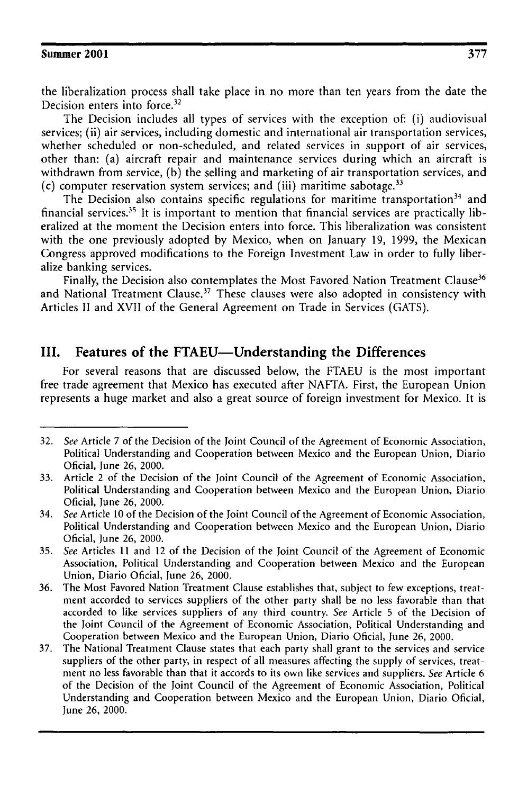the liberalization process shall take place in no more than ten years from the date the Decision enters into force.<sup>32</sup>

The Decision includes all types of services with the exception of: (i) audiovisual services; (ii) air services, including domestic and international air transportation services, whether scheduled or non-scheduled, and related services in support of air services, other than: (a) aircraft repair and maintenance services during which an aircraft is withdrawn from service, (b) the selling and marketing of air transportation services, and (c) computer reservation system services; and (iii) maritime sabotage. <sup>33</sup>

The Decision also contains specific regulations for maritime transportation<sup>34</sup> and financial services.<sup>35</sup> It is important to mention that financial services are practically liberalized at the moment the Decision enters into force. This liberalization was consistent with the one previously adopted by Mexico, when on January 19, 1999, the Mexican Congress approved modifications to the Foreign Investment Law in order to fully liberalize banking services.

Finally, the Decision also contemplates the Most Favored Nation Treatment Clause<sup>36</sup> and National Treatment Clause.<sup>37</sup> These clauses were also adopted in consistency with Articles II and XVII of the General Agreement on Trade in Services (GATS).

## **III. Features of the FTAEU-Understanding the Differences**

For several reasons that are discussed below, the **FTAEU** is the most important free trade agreement that Mexico has executed after **NAFTA.** First, the European Union represents a huge market and also a great source of foreign investment for Mexico. It is

**<sup>32.</sup>** See Article **7** of the Decision of the Joint Council of the Agreement of Economic Association, Political Understanding and Cooperation between Mexico and the European Union, Diario Oficial, June **26,** 2000.

<sup>33.</sup> Article 2 of the Decision of the Joint Council of the Agreement of Economic Association, Political Understanding and Cooperation between Mexico and the European Union, Diario Oficial, June 26, 2000.

<sup>34.</sup> See Article 10 of the Decision of the Joint Council of the Agreement of Economic Association, Political Understanding and Cooperation between Mexico and the European Union, Diario Oficial, June 26, 2000.

<sup>35.</sup> See Articles 11 and 12 of the Decision of the Joint Council of the Agreement of Economic Association, Political Understanding and Cooperation between Mexico and the European Union, Diario Oficial, June 26, 2000.

<sup>36.</sup> The Most Favored Nation Treatment Clause establishes that, subject to few exceptions, treatment accorded to services suppliers of the other party shall be no less favorable than that accorded to like services suppliers of any third country. See Article 5 of the Decision of the Joint Council of the Agreement of Economic Association, Political Understanding and Cooperation between Mexico and the European Union, Diario Oficial, June 26, 2000.

<sup>37.</sup> The National Treatment Clause states that each party shall grant to the services and service suppliers of the other party, in respect of all measures affecting the supply of services, treatment no less favorable than that it accords to its own like services and suppliers. See Article 6 of the Decision of the Joint Council of the Agreement of Economic Association, Political Understanding and Cooperation between Mexico and the European Union, Diario Oficial, June 26, 2000.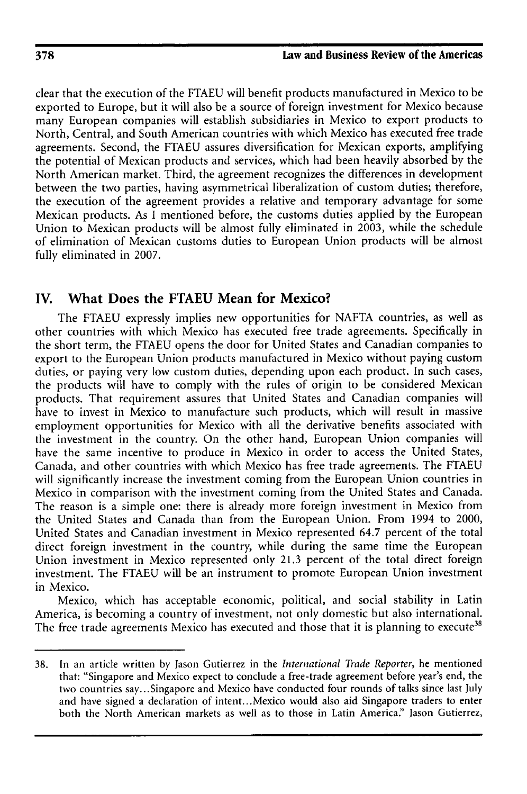clear that the execution of the FTAEU will benefit products manufactured in Mexico to be exported to Europe, but it will also be a source of foreign investment for Mexico because many European companies will establish subsidiaries in Mexico to export products to North, Central, and South American countries with which Mexico has executed free trade agreements. Second, the FTAEU assures diversification for Mexican exports, amplifying the potential of Mexican products and services, which had been heavily absorbed by the North American market. Third, the agreement recognizes the differences in development between the two parties, having asymmetrical liberalization of custom duties; therefore, the execution of the agreement provides a relative and temporary advantage for some Mexican products. As I mentioned before, the customs duties applied by the European Union to Mexican products will be almost fully eliminated in 2003, while the schedule of elimination of Mexican customs duties to European Union products will be almost fully eliminated in 2007.

## **IV. What Does the FTAEU Mean for Mexico?**

The FTAEU expressly implies new opportunities for NAFTA countries, as well as other countries with which Mexico has executed free trade agreements. Specifically in the short term, the **FTAEU** opens the door for United States and Canadian companies to export to the European Union products manufactured in Mexico without paying custom duties, or paying very low custom duties, depending upon each product. In such cases, the products will have to comply with the rules of origin to be considered Mexican products. That requirement assures that United States and Canadian companies will have to invest in Mexico to manufacture such products, which will result in massive employment opportunities for Mexico with all the derivative benefits associated with the investment in the country. On the other hand, European Union companies will have the same incentive to produce in Mexico in order to access the United States, Canada, and other countries with which Mexico has free trade agreements. The FTAEU will significantly increase the investment coming from the European Union countries in Mexico in comparison with the investment coming from the United States and Canada. The reason is a simple one: there is already more foreign investment in Mexico from the United States and Canada than from the European Union. From 1994 to 2000, United States and Canadian investment in Mexico represented 64.7 percent of the total direct foreign investment in the country, while during the same time the European Union investment in Mexico represented only 21.3 percent of the total direct foreign investment. The FTAEU will be an instrument to promote European Union investment in Mexico.

Mexico, which has acceptable economic, political, and social stability in Latin America, is becoming a country of investment, not only domestic but also international. The free trade agreements Mexico has executed and those that it is planning to execute<sup>38</sup>

<sup>38.</sup> In an article written by Jason Gutierrez in the *International Trade Reporter,* he mentioned that: "Singapore and Mexico expect to conclude a free-trade agreement before year's end, the two countries say... Singapore and Mexico have conducted four rounds of talks since last July and have signed a declaration of intent.. .Mexico would also aid Singapore traders to enter both the North American markets as well as to those in Latin America:" Jason Gutierrez,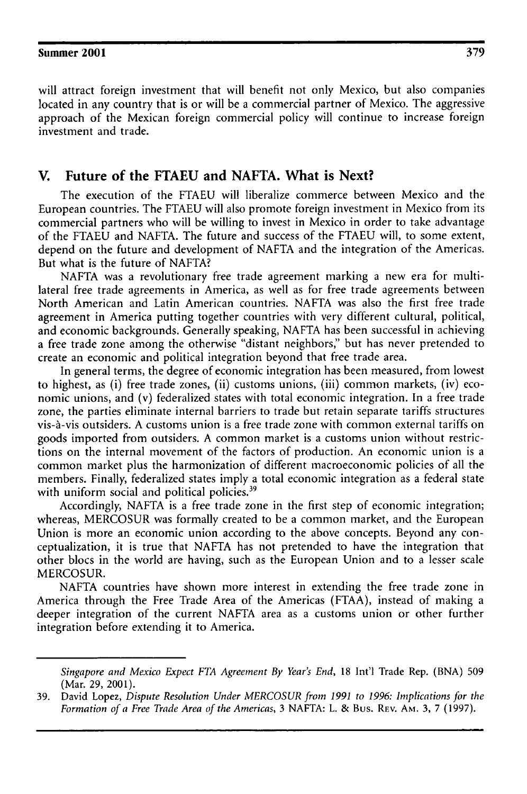will attract foreign investment that will benefit not only Mexico, but also companies located in any country that is or will be a commercial partner of Mexico. The aggressive approach of the Mexican foreign commercial policy will continue to increase foreign investment and trade.

## **V. Future of the FTAEU and NAFTA. What is Next?**

The execution of the FTAEU will liberalize commerce between Mexico and the European countries. The FTAEU will also promote foreign investment in Mexico from its commercial partners who will be willing to invest in Mexico in order to take advantage of the FTAEU and NAFTA. The future and success of the FTAEU will, to some extent, depend on the future and development of NAFTA and the integration of the Americas. But what is the future of NAFTA?

**NAFTA** was a revolutionary free trade agreement marking a new era for multilateral free trade agreements in America, as well as for free trade agreements between North American and Latin American countries. NAFTA was also the first free trade agreement in America putting together countries with very different cultural, political, and economic backgrounds. Generally speaking, NAFTA has been successful in achieving a free trade zone among the otherwise "distant neighbors:' but has never pretended to create an economic and political integration beyond that free trade area.

In general terms, the degree of economic integration has been measured, from lowest to highest, as (i) free trade zones, (ii) customs unions, (iii) common markets, (iv) economic unions, and (v) federalized states with total economic integration. In a free trade zone, the parties eliminate internal barriers to trade but retain separate tariffs structures vis-A-vis outsiders. A customs union is a free trade zone with common external tariffs on goods imported from outsiders. A common market is a customs union without restrictions on the internal movement of the factors of production. An economic union is a common market plus the harmonization of different macroeconomic policies of all the members. Finally, federalized states imply a total economic integration as a federal state with uniform social and political policies.<sup>39</sup>

Accordingly, NAFTA is a free trade zone in the first step of economic integration; whereas, MERCOSUR was formally created to be a common market, and the European Union is more an economic union according to the above concepts. Beyond any conceptualization, it is true that NAFTA has not pretended to have the integration that other blocs in the world are having, such as the European Union and to a lesser scale MERCOSUR.

NAFTA countries have shown more interest in extending the free trade zone in America through the Free Trade Area of the Americas (FTAA), instead of making a deeper integration of the current NAFTA area as a customs union or other further integration before extending it to America.

*Singapore and Mexico Expect FTA Agreement By Year's End,* 18 Int'l Trade Rep. (BNA) 509 (Mar. 29, 2001).

<sup>39.</sup> David Lopez, *Dispute Resolution Under MERCOSUR from 1991 to 1996: Implications for the Formation of a Free Trade Area of the Americas,* 3 NAFTA: L. & Bus. REV. Am. 3, **7** (1997).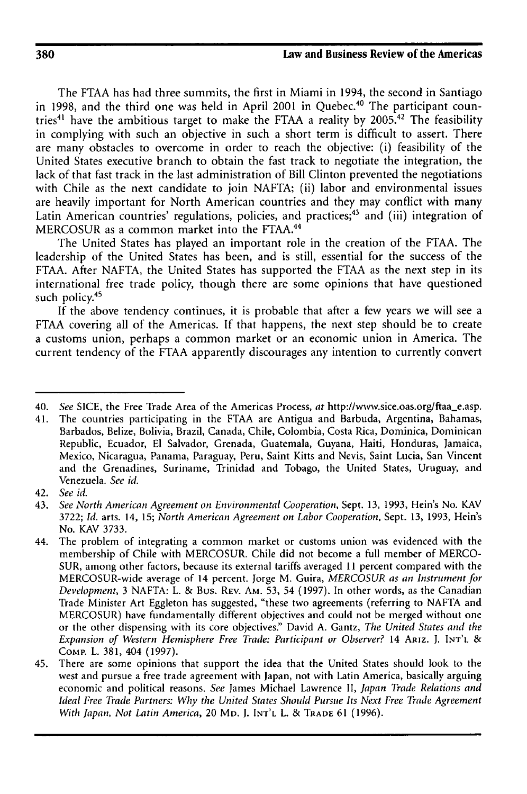The FTAA has had three summits, the first in Miami in 1994, the second in Santiago in 1998, and the third one was held in April 2001 in Quebec.<sup>40</sup> The participant countries<sup>41</sup> have the ambitious target to make the FTAA a reality by 2005.<sup>42</sup> The feasibility in complying with such an objective in such a short term is difficult to assert. There are many obstacles to overcome in order to reach the objective: (i) feasibility of the United States executive branch to obtain the fast track to negotiate the integration, the lack of that fast track in the last administration of Bill Clinton prevented the negotiations with Chile as the next candidate to join NAFTA; (ii) labor and environmental issues are heavily important for North American countries and they may conflict with many Latin American countries' regulations, policies, and practices;<sup>43</sup> and (iii) integration of MERCOSUR as a common market into the FTAA. <sup>44</sup>

The United States has played an important role in the creation of the FTAA. The leadership of the United States has been, and is still, essential for the success of the FTAA. After NAFTA, the United States has supported the FTAA as the next step in its international free trade policy, though there are some opinions that have questioned such policy.<sup>45</sup>

If the above tendency continues, it is probable that after a few years we will see a FTAA covering all of the Americas. If that happens, the next step should be to create a customs union, perhaps a common market or an economic union in America. The current tendency of the FTAA apparently discourages any intention to currently convert

<sup>40.</sup> *See* SICE, the Free Trade Area of the Americas Process, at http://www.sice.oas.org/ftaa-e.asp.

<sup>41.</sup> The countries participating in the FTAA are Antigua and Barbuda, Argentina, Bahamas, Barbados, Belize, Bolivia, Brazil, Canada, Chile, Colombia, Costa Rica, Dominica, Dominican Republic, Ecuador, El Salvador, Grenada, Guatemala, Guyana, Haiti, Honduras, Jamaica, Mexico, Nicaragua, Panama, Paraguay, Peru, Saint Kitts and Nevis, Saint Lucia, San Vincent and the Grenadines, Suriname, Trinidad and Tobago, the United States, Uruguay, and Venezuela. *See id.*

<sup>42.</sup> *See id.*

<sup>43.</sup> *See North American Agreement on Environmental Cooperation,* Sept. 13, 1993, Hein's No. KAV 3722; *Id.* arts. 14, 15; *North American Agreement on Labor Cooperation,* Sept. 13, 1993, Hein's No. KAV 3733.

<sup>44.</sup> The problem of integrating a common market or customs union was evidenced with the membership of Chile with MERCOSUR. Chile did not become a full member of MERCO-SUR, among other factors, because its external tariffs averaged 11 percent compared with the MERCOSUR-wide average of 14 percent. Jorge M. Guira, *MERCOSUR as an Instrument for Development,* 3 NAFTA: L. & Bus. REV. **AM.** 53, 54 (1997). In other words, as the Canadian Trade Minister Art Eggleton has suggested, "these two agreements (referring to NAFTA and MERCOSUR) have fundamentally different objectives and could not be merged without one or the other dispensing with its core objectives." David **A.** Gantz, *The United States and the Expansion of* Western *Hemisphere Free Trade: Participant or Observer?* 14 ARIz. J. **INT'L** & CoMP. L. 381, 404 (1997).

<sup>45.</sup> There are some opinions that support the idea that the United States should look to the west and pursue a free trade agreement with Japan, not with Latin America, basically arguing economic and political reasons. *See* James Michael Lawrence II, *Japan Trade Relations and Ideal Free Trade Partners: Why the United States Should Pursue Its Next Free Trade Agreement With Japan, Not Latin America,* 20 MD. J. **INT'L** L. & TRADE 61 (1996).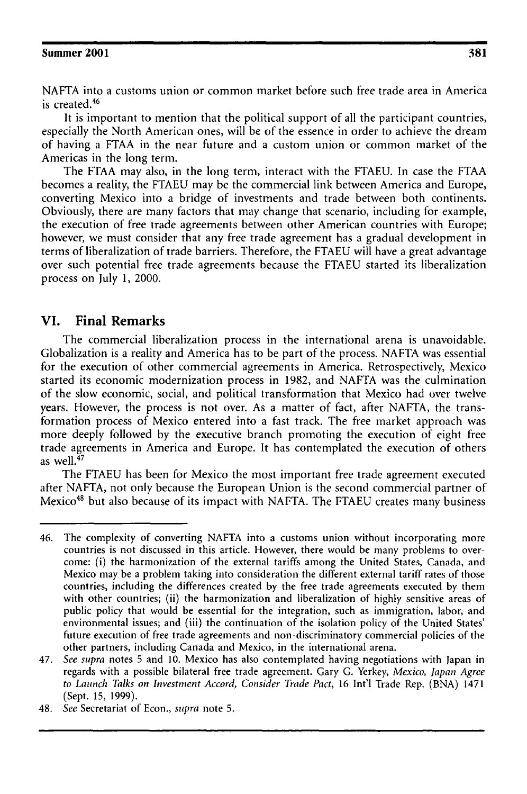**NAFTA** into a customs union or common market before such free trade area in America is created.<sup>46</sup>

It is important to mention that the political support of all the participant countries, especially the North American ones, will be of the essence in order to achieve the dream of having a FTAA in the near future and a custom union or common market of the Americas in the long term.

The FTAA may also, in the long term, interact with the FTAEU. In case the FTAA becomes a reality, the FTAEU may be the commercial link between America and Europe, converting Mexico into a bridge of investments and trade between both continents. Obviously, there are many factors that may change that scenario, including for example, the execution of free trade agreements between other American countries with Europe; however, we must consider that any free trade agreement has a gradual development in terms of liberalization of trade barriers. Therefore, the FTAEU will have a great advantage over such potential free trade agreements because the FTAEU started its liberalization process on July 1, 2000.

## **VI. Final Remarks**

The commercial liberalization process in the international arena is unavoidable. Globalization is a reality and America has to be part of the process. NAFTA was essential for the execution of other commercial agreements in America. Retrospectively, Mexico started its economic modernization process in 1982, and NAFTA was the culmination of the slow economic, social, and political transformation that Mexico had over twelve years. However, the process is not over. As a matter of fact, after NAFTA, the transformation process of Mexico entered into a fast track. The free market approach was more deeply followed by the executive branch promoting the execution of eight free trade agreements in America and Europe. It has contemplated the execution of others as well. $47$ 

The FTAEU has been for Mexico the most important free trade agreement executed after NAFTA, not only because the European Union is the second commercial partner of Mexico 48 but also because of its impact with NAFTA. The FTAEU creates many business

<sup>46.</sup> The complexity of converting NAFTA into a customs union without incorporating more countries is not discussed in this article. However, there would be many problems to overcome: (i) the harmonization of the external tariffs among the United States, Canada, and Mexico may be a problem taking into consideration the different external tariff rates of those countries, including the differences created by the free trade agreements executed by them with other countries; (ii) the harmonization and liberalization of highly sensitive areas of public policy that would be essential for the integration, such as immigration, labor, and environmental issues; and (iii) the continuation of the isolation policy of the United States' future execution of free trade agreements and non-discriminatory commercial policies of the other partners, including Canada and Mexico, in the international arena.

<sup>47.</sup> *See supra* notes 5 and 10. Mexico has also contemplated having negotiations with Japan in regards with a possible bilateral free trade agreement. Gary G. Yerkey, *Mexico, Japan Agree to Launch Talks on Investment Accord, Consider Trade Pact,* 16 Int'l Trade Rep. (BNA) 1471 (Sept. 15, 1999).

<sup>48.</sup> *See* Secretariat of Econ., *supra* note **5.**